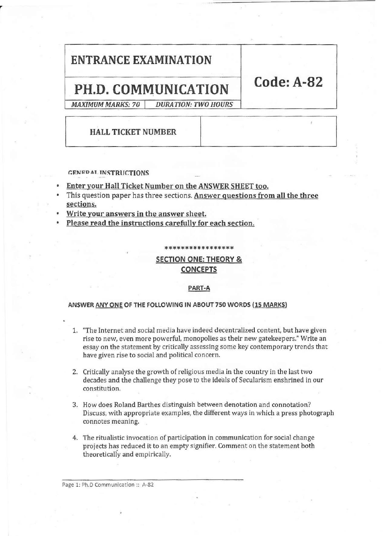# ENTRANCE EXAMINATION

# PH.D. COMMUNICATION Code: A-82

MAXIMUM MARKS: 70 DURATION: TWO HOURS

# HALL TICKET NUMBER

#### GENERAL INSTRUCTIONS

- Enter your Hall Ticket Number on the ANSWER SHEET too.
- This question paper has three sections. Answer questions from all the three sections.
- Write your answers in the answer sheet.
- Please read the instructions carefully for each section.

\*\*\*\*\*\*\*\*\*\*\*\*\*\*\*

## SECTION ONE: THEORY & CONCEPTS

#### PART-A

#### ANSWER ANY ONE OF THE FOLLOWING IN ABOUT 750 WORDS (15 MARKS)

- 1. "The Internet and social media have indeed decentralized content, but have given rise to new, even more powerful, monopolies as their new gatekeepers." Write an essay on the statement by critically assessing some key contemporary trends that have given rise to social and political concern.
- 2. Critically analyse the growth of religious media in the country in the last two decades and the challenge they pose to the ideals of Secularism enshrined in our constitution.
- 3. How does Roland Barthes distinguish between denotation and connotation? Discuss, with appropriate examples, the different ways in which a press photograph connotes meaning.
- 4. The ritualistic invocation of participation in communication for social change projects has reduced it to an empty signifier. Comment on the statement both theoretically and empirically.

Page 1: Ph.D Communication :: A-82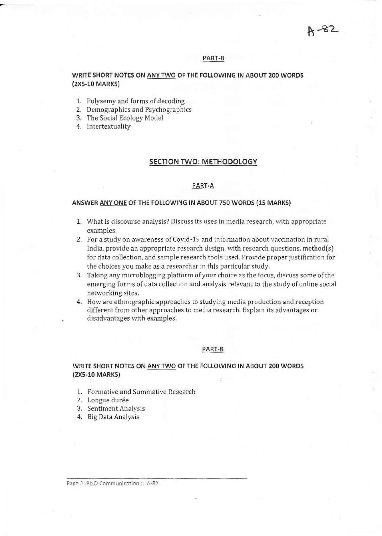#### PART-B

#### WRITE SHORT NOTES ON ANY TWO OF THE FOLLOWING IN ABOUT 200 WORDS (2XS-l0 MARKS)

- 1. Polysemy and forms of decoding
- 2. Demographics and Psychographies
- 3. The Social Ecology Model
- 4. Intertextuality

#### SECTION TWO: METHODOLOGY

#### PART-A

#### ANSWER ANY ONE OF THE FOLLOWING IN ABOUT 750 WORDS (15 MARKS)

- 1. What is discourse analysis? Discuss its uses in media research, with appropriate examples,
- 2. For a study on awareness ofCovid·19 and information about vaccination in rural India, provide an appropriate research design, with research questions, method(s) for data collection, and sample research tools used. Provide proper justification for the choices you make as a researcher in this particular study.
- 3. Taking any microblogging platform of your choice as the focus, discuss some of the emerging forms of data collection and analysis relevant to the study of online social networking sites.
- 4. How are ethnographic approaches to studying media production and reception different from other approaches to media research. Explain its advantages or disadvantages with examples.

#### **PART-S**

#### WRITE SHORT NOTES ON ANY TWO OF THE FOLLOWING IN ABOUT 200 WORDS (2XS-l0 MARKS)

- 1. Formative and Summative Research
- 2. Longue durée
- 3. Sentiment Analysis
- 4. Big Data Analysis

Page 2: Ph.D Communication :: A-82